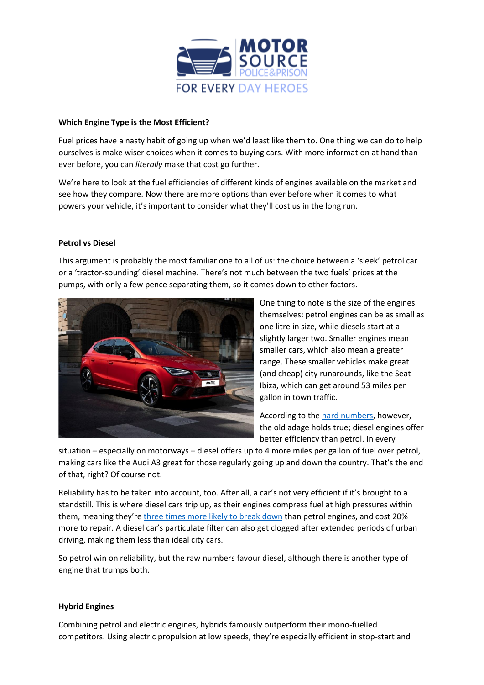

## **Which Engine Type is the Most Efficient?**

Fuel prices have a nasty habit of going up when we'd least like them to. One thing we can do to help ourselves is make wiser choices when it comes to buying cars. With more information at hand than ever before, you can *literally* make that cost go further.

We're here to look at the fuel efficiencies of different kinds of engines available on the market and see how they compare. Now there are more options than ever before when it comes to what powers your vehicle, it's important to consider what they'll cost us in the long run.

## **Petrol vs Diesel**

This argument is probably the most familiar one to all of us: the choice between a 'sleek' petrol car or a 'tractor-sounding' diesel machine. There's not much between the two fuels' prices at the pumps, with only a few pence separating them, so it comes down to other factors.



One thing to note is the size of the engines themselves: petrol engines can be as small as one litre in size, while diesels start at a slightly larger two. Smaller engines mean smaller cars, which also mean a greater range. These smaller vehicles make great (and cheap) city runarounds, like the Seat Ibiza, which can get around 53 miles per gallon in town traffic.

According to the [hard numbers,](https://www.which.co.uk/reviews/new-and-used-cars/article/petrol-vs-diesel-cars-which-is-better-az4UV9R1twEE) however, the old adage holds true; diesel engines offer better efficiency than petrol. In every

situation – especially on motorways – diesel offers up to 4 more miles per gallon of fuel over petrol, making cars like the Audi A3 great for those regularly going up and down the country. That's the end of that, right? Of course not.

Reliability has to be taken into account, too. After all, a car's not very efficient if it's brought to a standstill. This is where diesel cars trip up, as their engines compress fuel at high pressures within them, meaning they're [three times more likely to break down](https://www.theguardian.com/money/2018/jan/27/diesel-cars-cheap-reliable-petrol) than petrol engines, and cost 20% more to repair. A diesel car's particulate filter can also get clogged after extended periods of urban driving, making them less than ideal city cars.

So petrol win on reliability, but the raw numbers favour diesel, although there is another type of engine that trumps both.

## **Hybrid Engines**

Combining petrol and electric engines, hybrids famously outperform their mono-fuelled competitors. Using electric propulsion at low speeds, they're especially efficient in stop-start and